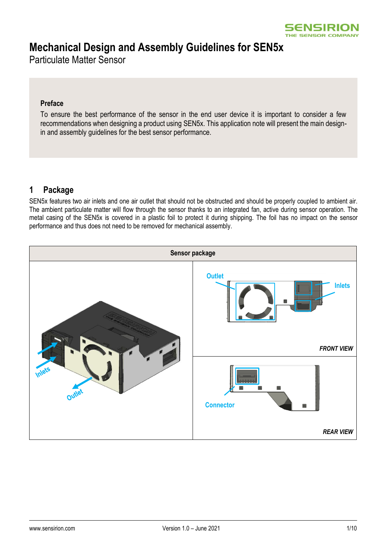

# **Mechanical Design and Assembly Guidelines for SEN5x**

Particulate Matter Sensor

### **Preface**

To ensure the best performance of the sensor in the end user device it is important to consider a few recommendations when designing a product using SEN5x. This application note will present the main designin and assembly guidelines for the best sensor performance.

## **1 Package**

SEN5x features two air inlets and one air outlet that should not be obstructed and should be properly coupled to ambient air. The ambient particulate matter will flow through the sensor thanks to an integrated fan, active during sensor operation. The metal casing of the SEN5x is covered in a plastic foil to protect it during shipping. The foil has no impact on the sensor performance and thus does not need to be removed for mechanical assembly.

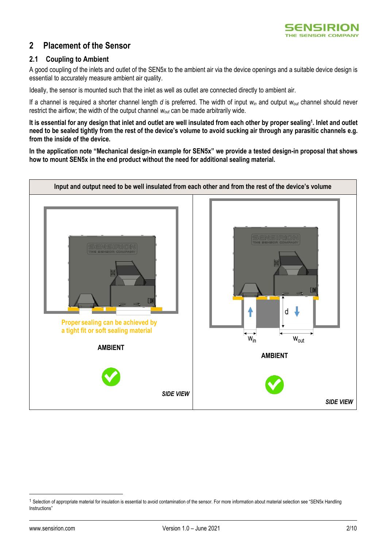

## **2 Placement of the Sensor**

### **2.1 Coupling to Ambient**

A good coupling of the inlets and outlet of the SEN5x to the ambient air via the device openings and a suitable device design is essential to accurately measure ambient air quality.

Ideally, the sensor is mounted such that the inlet as well as outlet are connected directly to ambient air.

If a channel is required a shorter channel length *d* is preferred. The width of input *win* and output *wout* channel should never restrict the airflow; the width of the output channel *wout* can be made arbitrarily wide.

**It is essential for any design that inlet and outlet are well insulated from each other by proper sealing<sup>1</sup> . Inlet and outlet need to be sealed tightly from the rest of the device's volume to avoid sucking air through any parasitic channels e.g. from the inside of the device.**

**In the application note "Mechanical design-in example for SEN5x" we provide a tested design-in proposal that shows how to mount SEN5x in the end product without the need for additional sealing material.**



<sup>&</sup>lt;sup>1</sup> Selection of appropriate material for insulation is essential to avoid contamination of the sensor. For more information about material selection see "SEN5x Handling Instructions"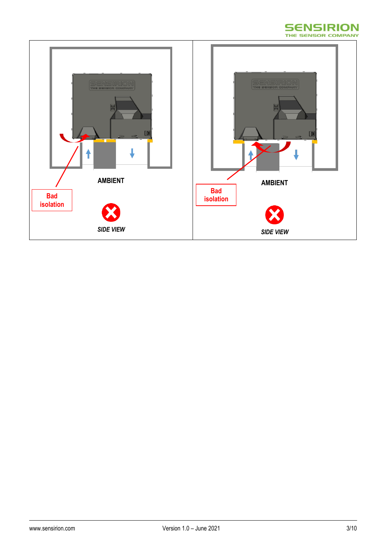

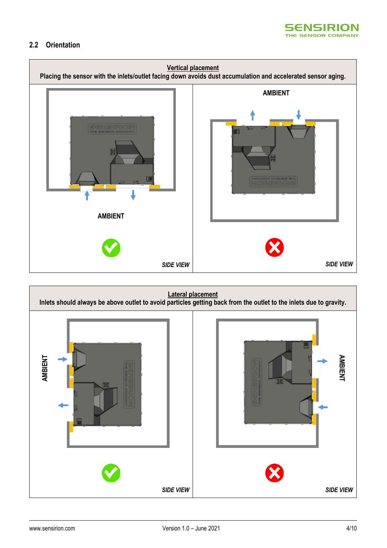

## **2.2 Orientation**



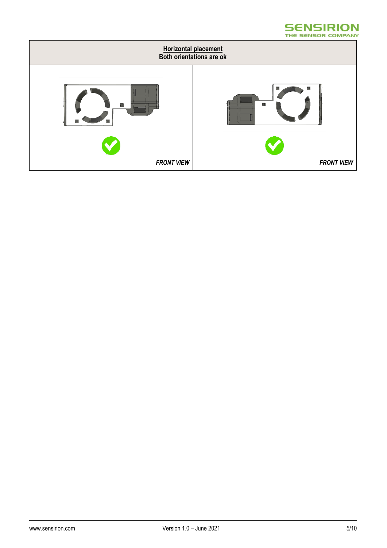#### **SENSIRION** THE SENSOR COMPANY

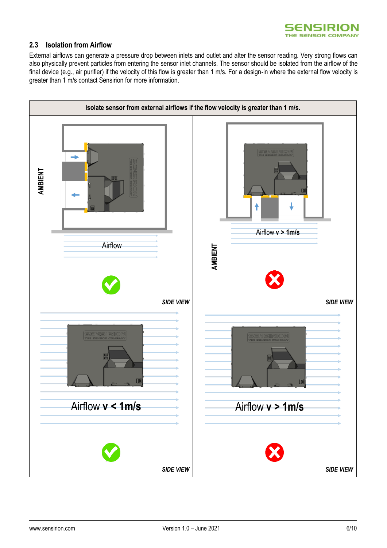

### **2.3 Isolation from Airflow**

External airflows can generate a pressure drop between inlets and outlet and alter the sensor reading. Very strong flows can also physically prevent particles from entering the sensor inlet channels. The sensor should be isolated from the airflow of the final device (e.g., air purifier) if the velocity of this flow is greater than 1 m/s. For a design-in where the external flow velocity is greater than 1 m/s contact Sensirion for more information.

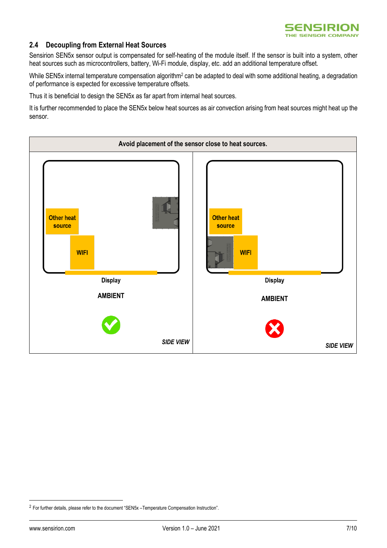

### **2.4 Decoupling from External Heat Sources**

Sensirion SEN5x sensor output is compensated for self-heating of the module itself. If the sensor is built into a system, other heat sources such as microcontrollers, battery, Wi-Fi module, display, etc. add an additional temperature offset.

While SEN5x internal temperature compensation algorithm<sup>2</sup> can be adapted to deal with some additional heating, a degradation of performance is expected for excessive temperature offsets.

Thus it is beneficial to design the SEN5x as far apart from internal heat sources.

It is further recommended to place the SEN5x below heat sources as air convection arising from heat sources might heat up the sensor.



<sup>2</sup> For further details, please refer to the document "SEN5x –Temperature Compensation Instruction".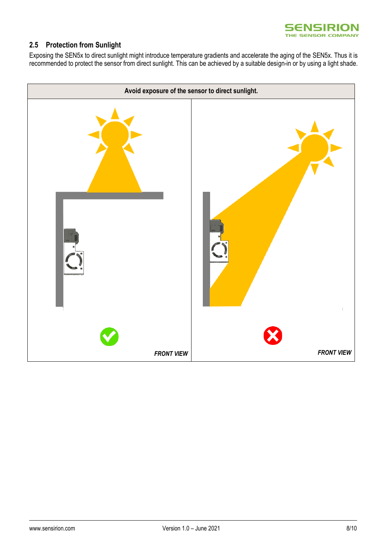

## **2.5 Protection from Sunlight**

Exposing the SEN5x to direct sunlight might introduce temperature gradients and accelerate the aging of the SEN5x. Thus it is recommended to protect the sensor from direct sunlight. This can be achieved by a suitable design-in or by using a light shade.

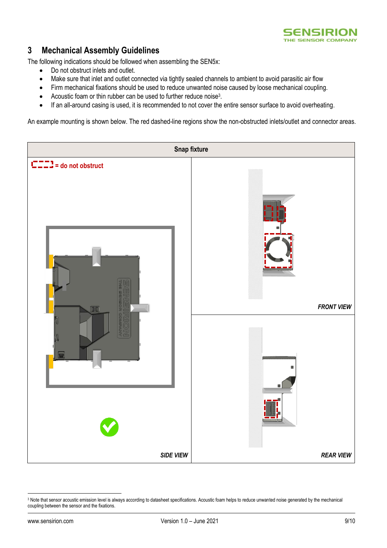

## **3 Mechanical Assembly Guidelines**

The following indications should be followed when assembling the SEN5x:

- Do not obstruct inlets and outlet.
- Make sure that inlet and outlet connected via tightly sealed channels to ambient to avoid parasitic air flow
- Firm mechanical fixations should be used to reduce unwanted noise caused by loose mechanical coupling.
- Acoustic foam or thin rubber can be used to further reduce noise<sup>3</sup>.
- If an all-around casing is used, it is recommended to not cover the entire sensor surface to avoid overheating.

An example mounting is shown below. The red dashed-line regions show the non-obstructed inlets/outlet and connector areas.



<sup>3</sup> Note that sensor acoustic emission level is always according to datasheet specifications. Acoustic foam helps to reduce unwanted noise generated by the mechanical coupling between the sensor and the fixations.